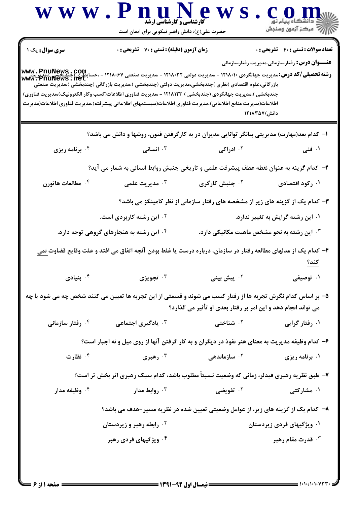| <b>سری سوال :</b> یک ۱<br>۔<br><b>رشته تحصیلی/کد درس:</b> مدیریت جهانگردی ۱۲۱۸۰۱۰ - ،مدیریت دولتی ۱۲۱۸۰۳۲ - ،مدیریت صنعتی ۱۲۱۸۰۶۷ - ،حسابداری (چندیحسی)،مدیریت<br>www : PnuNews . net<br>بازرگانی،علوم اقتصادی (نظری )چندبخشی،مدیریت دولتی (چندبخشی )،مدیریت بازرگانی (چندبخشی )،مدیریت صنعتی<br>چندبخشی )،مدیریت جهانگردی (چندبخشی ) ۱۲۱۸۱۲۳ - ،مدیریت فناوری اطلاعات(کسب وکار الکترونیک)،مدیریت فناوری)<br>اطلاعات(مديريت منابع اطلاعاتي)،مديريت فناوري اطلاعات(سيستمهاي اطلاعاتي پيشرفته)،مديريت فناوري اطلاعات(مديريت<br>۰۴ برنامه ریزی<br>۰۴ مطالعات هاثورن<br>۰۴ این رشته به هنجارهای گروهی توجه دارد.<br>نيادى $\cdot$ ۴ | <b>زمان آزمون (دقیقه) : تستی : 70 قشریحی : 0</b><br>انسانی $\cdot$ | دانش) ۱۲۱۸۳۵۷<br>ا– کدام بعد(مهارت) مدیریتی بیانگر توانایی مدیران در به کارگرفتن فنون، روشها و دانش می باشد؟<br>۰ <sup>۲</sup> ادراکی                                         | <b>تعداد سوالات : تستي : 40 - تشريحي : 0</b><br><b>عنــــوان درس:</b> رفتارسازمانی،مدیریت رفتارسازمانی |
|---------------------------------------------------------------------------------------------------------------------------------------------------------------------------------------------------------------------------------------------------------------------------------------------------------------------------------------------------------------------------------------------------------------------------------------------------------------------------------------------------------------------------------------------------------------------------------------------------------------------------------|--------------------------------------------------------------------|-------------------------------------------------------------------------------------------------------------------------------------------------------------------------------|--------------------------------------------------------------------------------------------------------|
|                                                                                                                                                                                                                                                                                                                                                                                                                                                                                                                                                                                                                                 |                                                                    |                                                                                                                                                                               |                                                                                                        |
|                                                                                                                                                                                                                                                                                                                                                                                                                                                                                                                                                                                                                                 |                                                                    |                                                                                                                                                                               |                                                                                                        |
|                                                                                                                                                                                                                                                                                                                                                                                                                                                                                                                                                                                                                                 |                                                                    |                                                                                                                                                                               |                                                                                                        |
|                                                                                                                                                                                                                                                                                                                                                                                                                                                                                                                                                                                                                                 |                                                                    |                                                                                                                                                                               |                                                                                                        |
|                                                                                                                                                                                                                                                                                                                                                                                                                                                                                                                                                                                                                                 |                                                                    |                                                                                                                                                                               | ۰۱ فنی                                                                                                 |
|                                                                                                                                                                                                                                                                                                                                                                                                                                                                                                                                                                                                                                 |                                                                    | ۲- کدام گزینه به عنوان نقطه عطف پیشرفت علمی و تاریخی جنبش روابط انسانی به شمار می آید؟                                                                                        |                                                                                                        |
|                                                                                                                                                                                                                                                                                                                                                                                                                                                                                                                                                                                                                                 | مديريت علمى $\cdot^{\mathsf{v}}$                                   | ۰ <sup>۲</sup> جنبش کارگری                                                                                                                                                    | ۰۱ رکود اقتصادی                                                                                        |
|                                                                                                                                                                                                                                                                                                                                                                                                                                                                                                                                                                                                                                 |                                                                    | ۳- کدام یک از گزینه های زیر از مشخصه های رفتار سازمانی از نظر کامینگز می باشد؟                                                                                                |                                                                                                        |
|                                                                                                                                                                                                                                                                                                                                                                                                                                                                                                                                                                                                                                 | <b>گ این رشته کاربردی است.</b>                                     |                                                                                                                                                                               | ۰۱ این رشته گرایش به تغییر ندارد.                                                                      |
|                                                                                                                                                                                                                                                                                                                                                                                                                                                                                                                                                                                                                                 |                                                                    | ۰۳ این رشته به نحو مشخص ماهیت مکانیکی دارد.                                                                                                                                   |                                                                                                        |
|                                                                                                                                                                                                                                                                                                                                                                                                                                                                                                                                                                                                                                 |                                                                    | ۴– کدام یک از مدلهای مطالعه رفتار در سازمان، درباره درست یا غلط بودن آنچه اتفاق می افتد و علت وقایع قضاوت <u>نمی</u>                                                          | کند؟                                                                                                   |
|                                                                                                                                                                                                                                                                                                                                                                                                                                                                                                                                                                                                                                 | تجویزی $\cdot$                                                     | ۰ <sup>۲</sup> پیش بینی                                                                                                                                                       | ۰۱ توصیفی                                                                                              |
|                                                                                                                                                                                                                                                                                                                                                                                                                                                                                                                                                                                                                                 |                                                                    | ۵– بر اساس کدام نگرش تجربه ها از رفتار کسب می شوند و قسمتی از این تجربه ها تعیین می کنند شخص چه می شود یا چه<br>می تواند انجام دهد و این امر بر رفتار بعدی او تأثیر می گذارد؟ |                                                                                                        |
| ۰۴ رفتار سازمان <i>ی</i>                                                                                                                                                                                                                                                                                                                                                                                                                                                                                                                                                                                                        | ۰ <sup>۳</sup> یادگیری اجتماعی                                     | ۰ <sup>۲</sup> شناختی                                                                                                                                                         | ۰۱ رفتار گرایی                                                                                         |
|                                                                                                                                                                                                                                                                                                                                                                                                                                                                                                                                                                                                                                 |                                                                    | ۶- کدام وظیفه مدیریت به معنای هنر نفوذ در دیگران و به کار گرفتن آنها از روی میل و نه اجبار است؟                                                                               |                                                                                                        |
| ۰۴ نظارت                                                                                                                                                                                                                                                                                                                                                                                                                                                                                                                                                                                                                        | رهبری $\cdot^{\mathsf{r}}$                                         | ۰ <sup>۲</sup> سازماندهی                                                                                                                                                      | ۰۱ برنامه ریزی                                                                                         |
|                                                                                                                                                                                                                                                                                                                                                                                                                                                                                                                                                                                                                                 |                                                                    | ۷- طبق نظریه رهبری فیدلر، زمانی که وضعیت نسبتاً مطلوب باشد، کدام سبک رهبری اثر بخش تر است؟                                                                                    |                                                                                                        |
| ۰ <sup>۴</sup> وظیفه مدار                                                                                                                                                                                                                                                                                                                                                                                                                                                                                                                                                                                                       | روابط مدار $\cdot^{\mathsf{\tau}}$                                 | ۰ <sup>۲</sup> تفویضی                                                                                                                                                         | ۰۱ مشارکت <i>ی</i>                                                                                     |
|                                                                                                                                                                                                                                                                                                                                                                                                                                                                                                                                                                                                                                 |                                                                    | ۸–  کدام یک از گزینه های زیر، از عوامل وضعیتی تعیین شده در نظریه مسیر –هدف می باشد؟                                                                                           |                                                                                                        |
|                                                                                                                                                                                                                                                                                                                                                                                                                                                                                                                                                                                                                                 | <sup>۲ .</sup> رابطه رهبر و زیردستان                               |                                                                                                                                                                               | ۰۱ ویژگیهای فردی زیردستان                                                                              |
|                                                                                                                                                                                                                                                                                                                                                                                                                                                                                                                                                                                                                                 | ۰۴ ویژگیهای فردی رهبر                                              |                                                                                                                                                                               | قدرت مقام رهبر $\cdot$ ۳                                                                               |
|                                                                                                                                                                                                                                                                                                                                                                                                                                                                                                                                                                                                                                 |                                                                    |                                                                                                                                                                               |                                                                                                        |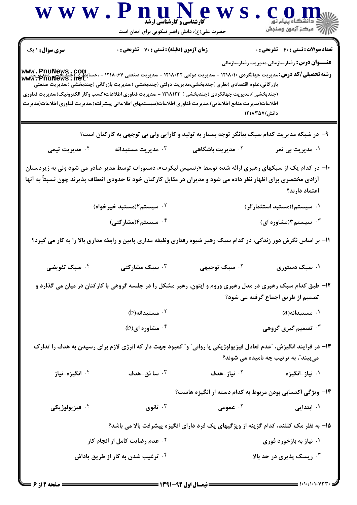|                            | <b>کارشناسی و کارشناسی ارشد</b><br>حضرت علی(ع): دانش راهبر نیکویی برای ایمان است                                                                                                                                                                                                                                                                                                                                                                                                                                                                                                | www.PnuNews                   | CON                                                                                                    |
|----------------------------|---------------------------------------------------------------------------------------------------------------------------------------------------------------------------------------------------------------------------------------------------------------------------------------------------------------------------------------------------------------------------------------------------------------------------------------------------------------------------------------------------------------------------------------------------------------------------------|-------------------------------|--------------------------------------------------------------------------------------------------------|
| <b>سری سوال : ۱ یک</b>     | زمان آزمون (دقیقه) : تستی : 70 گشریحی : 0                                                                                                                                                                                                                                                                                                                                                                                                                                                                                                                                       |                               | <b>تعداد سوالات : تستی : 40 - تشریحی : 0</b><br><b>عنــــوان درس:</b> رفتارسازمانی،مدیریت رفتارسازمانی |
|                            | <b>رشته تحصیلی/کد درس: م</b> دیریت جهانگردی ۱۲۱۸۰۱۰ - ،مدیریت دولتی ۱۲۱۸۰۳۲ - ،مدیریت صنعتی ۱۲۱۸۰۶۷ - ،حسابطلبی کسی به پ<br><b>رشته تحصیلی/کد درس: م</b> دیریت جهانگردی ۱۲۱۸۰۱۰ - ،مدیریت دولتی ۱۲۱۸۰۳۲ - ،مدیریت صنعتی ۱۲۱۸۰۶۷ - ،حسابطلبی<br>بازرگانی،علوم اقتصادی (نظری )چندبخشی،مدیریت دولتی (چندبخشی )،مدیریت بازرگانی (چندبخشی )،مدیریت صنعتی<br>(چندبخشی )،مدیریت جهانگردی (چندبخشی ) ۱۲۱۸۱۲۳ - ،مدیریت فناوری اطلاعات(کسب وکار الکترونیک)،مدیریت فناوری<br>اطلاعات(مديريت منابع اطلاعاتي)،مديريت فناوري اطلاعات(سيستمهاي اطلاعاتي پيشرفته)،مديريت فناوري اطلاعات(مديريت |                               | دانش) ۱۲۱۸۳۵۷                                                                                          |
|                            | ۹– در شبکه مدیریت کدام سبک بیانگر توجه بسیار به تولید و کارایی ولی بی توجهی به کارکنان است؟                                                                                                                                                                                                                                                                                                                                                                                                                                                                                     |                               |                                                                                                        |
| ۰۴ مدیریت تیمی             | ەدىرىت مستبدانە $\cdot$                                                                                                                                                                                                                                                                                                                                                                                                                                                                                                                                                         | ۰ <sup>۲</sup> مدیریت باشگاهی | ۰۱ مدیریت بی ثمر                                                                                       |
|                            | +۱- در کدام یک از سبکهای رهبری ارائه شده توسط «رنسیس لیکرت»، دستورات توسط مدیر صادر می شود ولی به زیردستان<br>آزادی مختصری برای اظهار نظر داده می شود و مدیران در مقابل کارکنان خود تا حدودی انعطاف پذیرند چون نسبتاً به آنها                                                                                                                                                                                                                                                                                                                                                   |                               | اعتماد دارند؟                                                                                          |
|                            | ۰ <sup>۲</sup> سیستم۲(مستبد خیرخواه)                                                                                                                                                                                                                                                                                                                                                                                                                                                                                                                                            |                               | ۰۱ سیستم۱(مستبد استثمارگر)                                                                             |
|                            | ۰ <sup>۴</sup> سیستم <b>۴</b> (مشارکتی)                                                                                                                                                                                                                                                                                                                                                                                                                                                                                                                                         |                               | ۰۳ سیستم۳(مشاوره ای)                                                                                   |
|                            | 11- بر اساس نگرش دور زندگی، در کدام سبک رهبر شیوه رفتاری وظیفه مداری پایین و رابطه مداری بالا را به کار می گیرد؟                                                                                                                                                                                                                                                                                                                                                                                                                                                                |                               |                                                                                                        |
| ۰۴ سبک تفویضی              | ۰۳ سبک مشارکتی                                                                                                                                                                                                                                                                                                                                                                                                                                                                                                                                                                  | ۰ <sup>۲</sup> سبک توجیهی     | ۰۱ سبک دستوری                                                                                          |
|                            | ۱۲- طبق کدام سبک رهبری در مدل رهبری وروم و ایتون، رهبر مشکل را در جلسه گروهی با کارکنان در میان می گذارد و                                                                                                                                                                                                                                                                                                                                                                                                                                                                      |                               | تصمیم از طریق اجماع گرفته می شود؟                                                                      |
|                            | $(b)$ هستبدانه (b)                                                                                                                                                                                                                                                                                                                                                                                                                                                                                                                                                              |                               | ۰۱ مستبدانه(a)                                                                                         |
|                            | $(b)$ ۰۴ مشاوره ای $\cdot$ ۴                                                                                                                                                                                                                                                                                                                                                                                                                                                                                                                                                    |                               | ۰ <sup>۳</sup> تصمیم گیری گروهی                                                                        |
|                            | ۱۳– در فرایند انگیزش، "عدم تعادل فیزیولوژیکی یا روانی" و" کمبود جهت دار که انرژی لازم برای رسیدن به هدف را تدارک                                                                                                                                                                                                                                                                                                                                                                                                                                                                |                               | میبیند ؒ، به ترتیب چه نامیده می شوند؟                                                                  |
| ۰ <sup>۴</sup> انگیزه-نیاز | سا ئق-هدف $\cdot$ $^\circ$                                                                                                                                                                                                                                                                                                                                                                                                                                                                                                                                                      | ۰ <sup>۲</sup> نیاز-هدف       | ۰۱ نیاز –انگیزه                                                                                        |
|                            |                                                                                                                                                                                                                                                                                                                                                                                                                                                                                                                                                                                 |                               | ۱۴– ویژگی اکتسابی بودن مربوط به کدام دسته از انگیزه هاست؟                                              |
| ۰۴ فيزيولوژيکي             | ا ثانوی $\cdot$                                                                                                                                                                                                                                                                                                                                                                                                                                                                                                                                                                 | ۰۲ عمومی                      | ۰۱ ابتدایی                                                                                             |
|                            |                                                                                                                                                                                                                                                                                                                                                                                                                                                                                                                                                                                 |                               | ۱۵– به نظر مک کللند، کدام گزینه از ویژگیهای یک فرد دارای انگیزه پیشرفت بالا می باشد؟                   |
|                            | <b>گ عدم رضایت کامل از انجام کار</b>                                                                                                                                                                                                                                                                                                                                                                                                                                                                                                                                            |                               | ۰۱ نیاز به بازخورد فوری                                                                                |
|                            | ۰ <sup>۴</sup> ترغیب شدن به کار از طریق پاداش                                                                                                                                                                                                                                                                                                                                                                                                                                                                                                                                   |                               | ۰۳ ریسک پذیری در حد بالا                                                                               |

 $=$  1+1+/1+1+7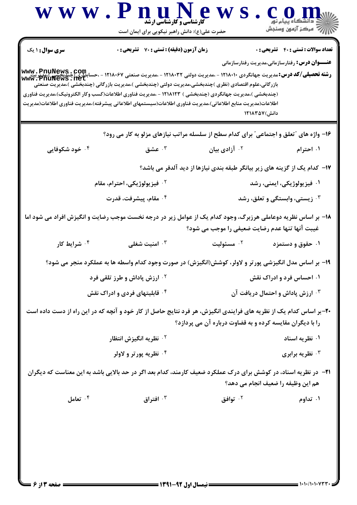|                          |                                                                                                                                                                                                                                                                                                                                  | حضرت علی(ع): دانش راهبر نیکویی برای ایمان است                              | د انشڪاه پيام نور<br>\  //   مرڪز آزمون وسنڊش                           |
|--------------------------|----------------------------------------------------------------------------------------------------------------------------------------------------------------------------------------------------------------------------------------------------------------------------------------------------------------------------------|----------------------------------------------------------------------------|-------------------------------------------------------------------------|
| <b>سری سوال : ۱ یک</b>   | زمان آزمون (دقیقه) : تستی : 70 گشریحی : 0                                                                                                                                                                                                                                                                                        |                                                                            | <b>تعداد سوالات : تستي : 40 - تشريحي : 0</b>                            |
|                          | بازرگانی،علوم اقتصادی (نظری )چندبخشی،مدیریت دولتی (چندبخشی )،مدیریت بازرگانی (چندبخشی )،مدیریت صنعتی<br>(چندبخشی )،مدیریت جهانگردی (چندبخشی ) ۱۲۱۸۱۲۳ - ،مدیریت فناوری اطلاعات(کسب وکار الکترونیک)،مدیریت فناوری<br>اطلاعات(مديريت منابع اطلاعاتي)،مديريت فناوري اطلاعات(سيستمهاي اطلاعاتي پيشرفته)،مديريت فناوري اطلاعات(مديريت |                                                                            | <b>عنــــوان درس:</b> رفتارسازمانی،مدیریت رفتارسازمانی<br>دانش) ۱۲۱۸۳۵۷ |
|                          | ۱۶- واژه های "تعلق و اجتماعی" برای کدام سطح از سلسله مراتب نیازهای مزلو به کار می رود؟                                                                                                                                                                                                                                           |                                                                            |                                                                         |
| ۰۴ خود شکوفایی           | حشق $\cdot$ ۳ .                                                                                                                                                                                                                                                                                                                  | ۰۲ آزادی بیان                                                              | ۰۱ احترام                                                               |
|                          |                                                                                                                                                                                                                                                                                                                                  | ۱۷– کدام یک از گزینه های زیر بیانگر طبقه بندی نیازها از دید آلدفر می باشد؟ |                                                                         |
|                          | <sup>۲</sup> ۰ فیزیولوژیکی، احترام، مقام                                                                                                                                                                                                                                                                                         |                                                                            | ۰۱ فیزیولوژیکی، ایمنی، رشد                                              |
|                          | ۰۴ مقام، پیشرفت، قدرت                                                                                                                                                                                                                                                                                                            |                                                                            | نیستی، وابستگی و تعلق، رشد $\cdot$                                      |
|                          | ۱۸– بر اساس نظریه دوعاملی هرزبرگ، وجود کدام یک از عوامل زیر در درجه نخست موجب رضایت و انگیزش افراد می شود اما                                                                                                                                                                                                                    | غیبت آنها تنها عدم رضایت ضعیفی را موجب می شود؟                             |                                                                         |
| ۰ <sup>۴</sup> شرایط کار | امنیت شغلی $\cdot^{\mathtt{w}}$                                                                                                                                                                                                                                                                                                  | مسئوليت $\cdot$ ٢                                                          | ۰۱ حقوق و دستمزد                                                        |
|                          | ۱۹- بر اساس مدل انگیزشی پورتر و لاولر، کوشش(انگیزش) در صورت وجود کدام واسطه ها به عملکرد منجر می شود؟                                                                                                                                                                                                                            |                                                                            |                                                                         |
|                          | <b>10 ارزش پاداش و طرز تلقی فرد</b>                                                                                                                                                                                                                                                                                              |                                                                            | ۰۱ احساس فرد و ادراک نقش                                                |
|                          | ۰ <sup>۴</sup> قابلیتهای فردی و ادراک نقش                                                                                                                                                                                                                                                                                        |                                                                            | <b>4 . ارزش پاداش و احتمال دریافت آن</b>                                |
|                          | ۲۰-بر اساس کدام یک از نظریه های فرایندی انگیزش، هر فرد نتایج حاصل از کار خود و آنچه که در این راه از دست داده است                                                                                                                                                                                                                | را با دیگران مقایسه کرده و به قضاوت درباره آن می پردازد؟                   |                                                                         |
|                          | <sup>7</sup> · نظريه انگيزش انتظار                                                                                                                                                                                                                                                                                               |                                                                            | ۰۱ نظریه اسناد                                                          |
|                          | ۰۴ نظریه پورتر و لاولر                                                                                                                                                                                                                                                                                                           |                                                                            | نظریه برابری $\cdot$                                                    |
|                          | <b>۲۱</b> - در نظریه اسناد، در کوشش برای درک عملکرد ضعیف کارمند، کدام بعد اگر در حد بالایی باشد به این معناست که دیگران                                                                                                                                                                                                          |                                                                            | هم این وظیفه را ضعیف انجام می دهد؟                                      |
|                          |                                                                                                                                                                                                                                                                                                                                  |                                                                            |                                                                         |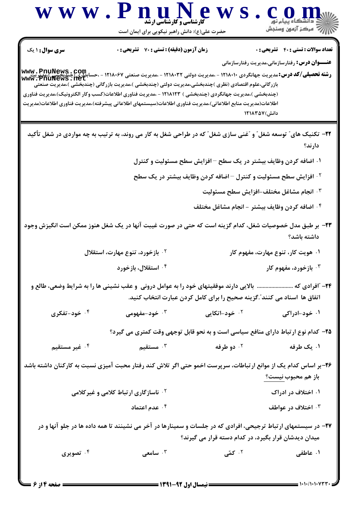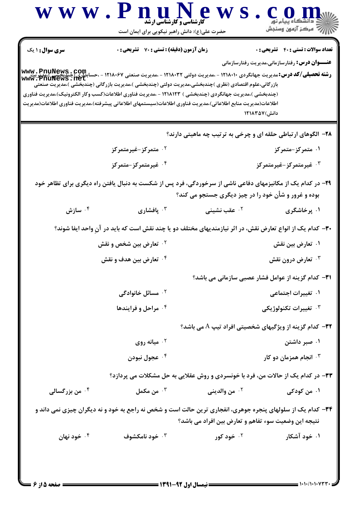| <b>تعداد سوالات : تستی : 40 قشریحی : 0</b>                                                                                                                                                                                                                                                          | <b>زمان آزمون (دقیقه) : تستی : 70 قشریحی : 0</b>                                                                                                                                                                                                                                                                                 | <b>سری سوال : ۱ یک</b>     |
|-----------------------------------------------------------------------------------------------------------------------------------------------------------------------------------------------------------------------------------------------------------------------------------------------------|----------------------------------------------------------------------------------------------------------------------------------------------------------------------------------------------------------------------------------------------------------------------------------------------------------------------------------|----------------------------|
| <b>عنـــوان درس:</b> رفتارسازمانی،مدیریت رفتارسازمانی<br>رشته تحصیلی/کد درس: میباشی یا ۱۲۱۸۰۱۰ - ۱۲۰۸۰۴۲ - ۱۲۰۸۰۳۲ - ۱۲۱۸۰۳۲ - ۱۲۱۸۰۶۷ - ۱۲۱۸۰۶۷ - ۱۳سابداری (چندیجسی)<br>سابداری (چندیجسی) کد درس: میباینگردی ۱۲۱۸۰۱۰ - ۱۲۵۰۳۰ - ۱۲۱۸۰۳۲ - ۱۲۱۸۰۳۲ - ۱۳۵۷۰۰ - ۱۳۵۷۰۰ - ۱۳۵۷۲۰ Www<br>دانش) ۱۲۱۸۳۵۷ | بازرگانی،علوم اقتصادی (نظری )چندبخشی،مدیریت دولتی (چندبخشی )،مدیریت بازرگانی (چندبخشی )،مدیریت صنعتی<br>(چندبخشی )،مدیریت جهانگردی (چندبخشی ) ۱۲۱۸۱۲۳ - ،مدیریت فناوری اطلاعات(کسب وکار الکترونیک)،مدیریت فناوری<br>اطلاعات(مديريت منابع اطلاعاتي)،مديريت فناوري اطلاعات(سيستمهاي اطلاعاتي پيشرفته)،مديريت فناوري اطلاعات(مديريت |                            |
| ۲۸- الگوهای ارتباطی حلقه ای و چرخی به ترتیب چه ماهیتی دارند؟                                                                                                                                                                                                                                        |                                                                                                                                                                                                                                                                                                                                  |                            |
| ۰۱ متمرکز-متمرکز                                                                                                                                                                                                                                                                                    | ۰ <sup>۲</sup> متمرکز-غیرمتمرکز                                                                                                                                                                                                                                                                                                  |                            |
| شمرکز-غیرمتمرکز- $\cdot$ ۳                                                                                                                                                                                                                                                                          | ۰ <sup>۴</sup> غیرمتمرکز-متمرکز                                                                                                                                                                                                                                                                                                  |                            |
| ۲۹- در کدام یک از مکانیزمهای دفاعی ناشی از سرخوردگی، فرد پس از شکست به دنبال یافتن راه دیگری برای تظاهر خود<br>بوده و غرور و شأن خود را در چیز دیگری جستجو می کند؟                                                                                                                                  |                                                                                                                                                                                                                                                                                                                                  |                            |
| ۰۱ پرخاشگری<br>۰۲ عقب نشینی                                                                                                                                                                                                                                                                         | بافشاری $\cdot$                                                                                                                                                                                                                                                                                                                  | سازش $\cdot$ ۴             |
| <b>۳۰</b> - کدام یک از انواع تعارض نقش، در اثر نیازمندیهای مختلف دو یا چند نقش است که باید در آنِ واحد ایفا شوند؟                                                                                                                                                                                   |                                                                                                                                                                                                                                                                                                                                  |                            |
| ۰۱ تعارض بین نقش                                                                                                                                                                                                                                                                                    | <sup>۲ .</sup> تعارض بین شخص و نقش                                                                                                                                                                                                                                                                                               |                            |
| تعارض درون نقش $\cdot$                                                                                                                                                                                                                                                                              | ۰۴ تعارض بین هدف و نقش                                                                                                                                                                                                                                                                                                           |                            |
| <b>۳۱</b> – کدام گزینه از عوامل فشار عصبی سازمانی می باشد؟                                                                                                                                                                                                                                          |                                                                                                                                                                                                                                                                                                                                  |                            |
| ۰۱ تغییرات اجتماعی                                                                                                                                                                                                                                                                                  | ۰ <sup>۲</sup> مسائل خانوادگی                                                                                                                                                                                                                                                                                                    |                            |
| نغييرات تكنولوژيكى $\cdot^{\mathsf{\texttt{v}}}$                                                                                                                                                                                                                                                    | ۰۴ مراحل و فرایندها                                                                                                                                                                                                                                                                                                              |                            |
| <b>۳۲</b> - کدام گزینه از ویژگیهای شخصیتی افراد تیپ A می باشد؟                                                                                                                                                                                                                                      |                                                                                                                                                                                                                                                                                                                                  |                            |
| ۰۱ صبر داشتن                                                                                                                                                                                                                                                                                        | ۰۲ میانه روی                                                                                                                                                                                                                                                                                                                     |                            |
| ا انجام همزمان دو کار $\cdot$ ۳                                                                                                                                                                                                                                                                     | ۰۴ عجول نبودن                                                                                                                                                                                                                                                                                                                    |                            |
| ۳۳- در کدام یک از حالات من، فرد با خونسردی و روش عقلایی به حل مشکلات می پردازد؟                                                                                                                                                                                                                     |                                                                                                                                                                                                                                                                                                                                  |                            |
| <sup>٢.</sup> من والديني<br>۰۱ من کودکی                                                                                                                                                                                                                                                             | ن مکمل $\cdot^{\mathsf{r}}$                                                                                                                                                                                                                                                                                                      | ۰ <sup>۴</sup> من بزرگسالی |
| ۳۴- کدام یک از سلولهای پنجره جوهری، انفجاری ترین حالت است و شخص نه راجع به خود و نه دیگران چیزی نمی داند و<br>نتیجه این وضعیت سوء تفاهم و تعارض بین افراد می باشد؟                                                                                                                                  |                                                                                                                                                                                                                                                                                                                                  |                            |
| ۰ <sup>۲</sup> خود کور<br>۰۱ خود آشکار                                                                                                                                                                                                                                                              | ۰۳ خود نامکشوف                                                                                                                                                                                                                                                                                                                   | ۰۴ خود نهان                |